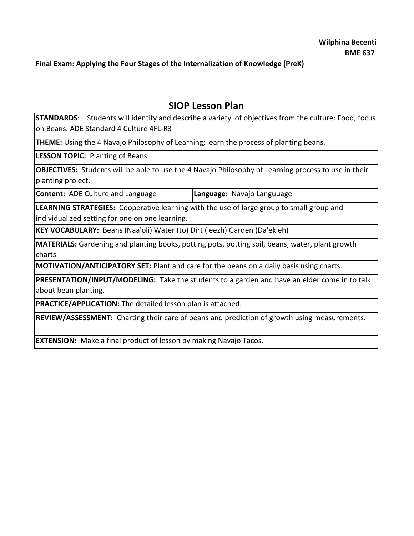**Final Exam: Applying the Four Stages of the Internalization of Knowledge (PreK)**

# **SIOP Lesson Plan**

**STANDARDS**: Students will identify and describe a variety of objectives from the culture: Food, focus on Beans. ADE Standard 4 Culture 4FL-R3

**THEME:** Using the 4 Navajo Philosophy of Learning; learn the process of planting beans.

**LESSON TOPIC:** Planting of Beans

**OBJECTIVES:** Students will be able to use the 4 Navajo Philosophy of Learning process to use in their planting project.

**Content:** ADE Culture and Language **Language:** Navajo Languuage

**LEARNING STRATEGIES:** Cooperative learning with the use of large group to small group and individualized setting for one on one learning.

**KEY VOCABULARY:** Beans (Naa'oli) Water (to) Dirt (leezh) Garden (Da'ek'eh)

**MATERIALS:** Gardening and planting books, potting pots, potting soil, beans, water, plant growth charts

**MOTIVATION/ANTICIPATORY SET:** Plant and care for the beans on a daily basis using charts.

**PRESENTATION/INPUT/MODELING:** Take the students to a garden and have an elder come in to talk about bean planting.

**PRACTICE/APPLICATION:** The detailed lesson plan is attached.

**REVIEW/ASSESSMENT:** Charting their care of beans and prediction of growth using measurements.

**EXTENSION:** Make a final product of lesson by making Navajo Tacos.